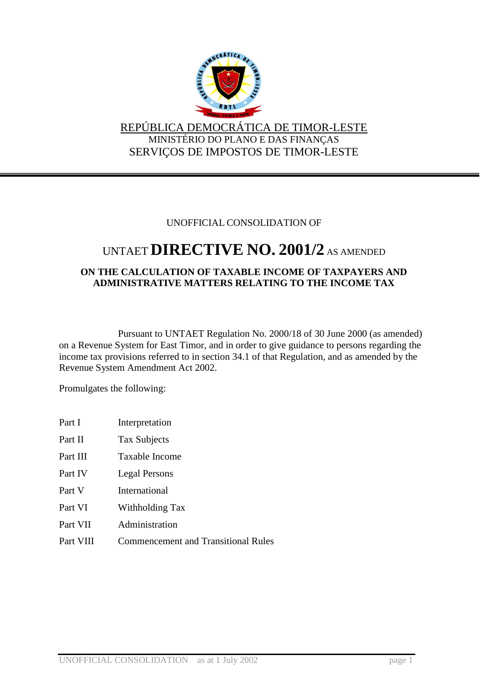

## REPÚBLICA DEMOCRÁTICA DE TIMOR-LESTE MINISTÉRIO DO PLANO E DAS FINANÇAS SERVIÇOS DE IMPOSTOS DE TIMOR-LESTE

## UNOFFICIAL CONSOLIDATION OF

# UNTAET**DIRECTIVE NO. 2001/2** AS AMENDED

## **ON THE CALCULATION OF TAXABLE INCOME OF TAXPAYERS AND ADMINISTRATIVE MATTERS RELATING TO THE INCOME TAX**

Pursuant to UNTAET Regulation No. 2000/18 of 30 June 2000 (as amended) on a Revenue System for East Timor, and in order to give guidance to persons regarding the income tax provisions referred to in section 34.1 of that Regulation, and as amended by the Revenue System Amendment Act 2002.

Promulgates the following:

| Part I    | Interpretation                             |
|-----------|--------------------------------------------|
| Part II   | <b>Tax Subjects</b>                        |
| Part III  | Taxable Income                             |
| Part IV   | Legal Persons                              |
| Part V    | International                              |
| Part VI   | Withholding Tax                            |
| Part VII  | Administration                             |
| Part VIII | <b>Commencement and Transitional Rules</b> |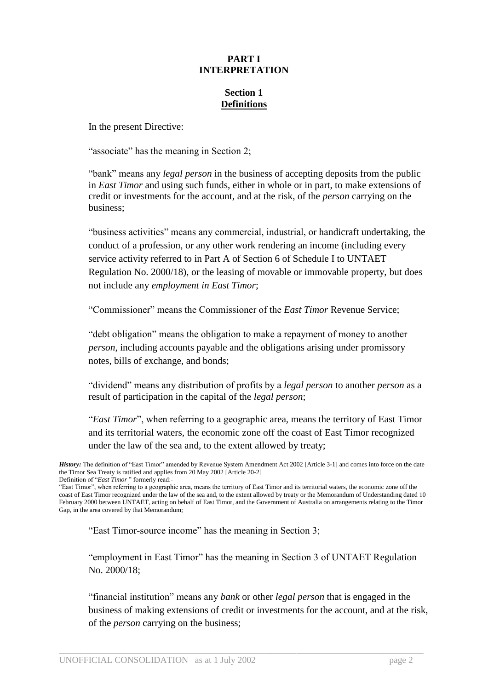## **PART I INTERPRETATION**

## **Section 1 Definitions**

In the present Directive:

"associate" has the meaning in Section 2;

"bank" means any *legal person* in the business of accepting deposits from the public in *East Timor* and using such funds, either in whole or in part, to make extensions of credit or investments for the account, and at the risk, of the *person* carrying on the business;

"business activities" means any commercial, industrial, or handicraft undertaking, the conduct of a profession, or any other work rendering an income (including every service activity referred to in Part A of Section 6 of Schedule I to UNTAET Regulation No. 2000/18), or the leasing of movable or immovable property, but does not include any *employment in East Timor*;

"Commissioner" means the Commissioner of the *East Timor* Revenue Service;

"debt obligation" means the obligation to make a repayment of money to another *person*, including accounts payable and the obligations arising under promissory notes, bills of exchange, and bonds;

"dividend" means any distribution of profits by a *legal person* to another *person* as a result of participation in the capital of the *legal person*;

"*East Timor*", when referring to a geographic area, means the territory of East Timor and its territorial waters, the economic zone off the coast of East Timor recognized under the law of the sea and, to the extent allowed by treaty;

"East Timor-source income" has the meaning in Section 3;

"employment in East Timor" has the meaning in Section 3 of UNTAET Regulation No. 2000/18;

"financial institution" means any *bank* or other *legal person* that is engaged in the business of making extensions of credit or investments for the account, and at the risk, of the *person* carrying on the business;

*History:* The definition of "East Timor" amended by Revenue System Amendment Act 2002 [Article 3-1] and comes into force on the date the Timor Sea Treaty is ratified and applies from 20 May 2002 [Article 20-2] Definition of "*East Timor* " formerly read:-

<sup>&</sup>quot;East Timor", when referring to a geographic area, means the territory of East Timor and its territorial waters, the economic zone off the coast of East Timor recognized under the law of the sea and, to the extent allowed by treaty or the Memorandum of Understanding dated 10 February 2000 between UNTAET, acting on behalf of East Timor, and the Government of Australia on arrangements relating to the Timor Gap, in the area covered by that Memorandum;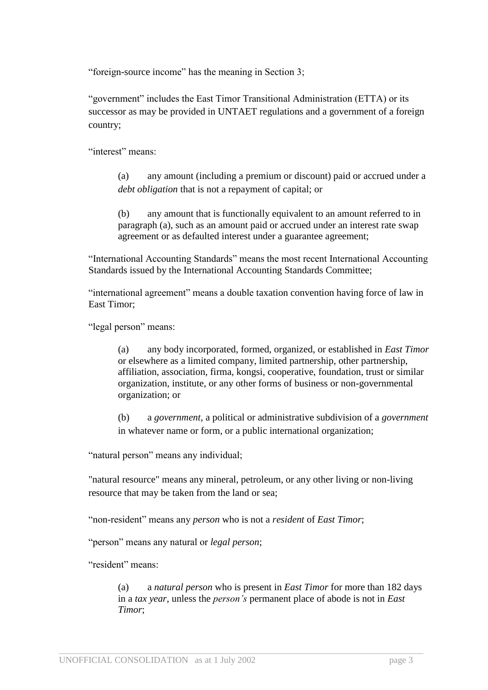"foreign-source income" has the meaning in Section 3;

"government" includes the East Timor Transitional Administration (ETTA) or its successor as may be provided in UNTAET regulations and a government of a foreign country;

"interest" means:

(a) any amount (including a premium or discount) paid or accrued under a *debt obligation* that is not a repayment of capital; or

(b) any amount that is functionally equivalent to an amount referred to in paragraph (a), such as an amount paid or accrued under an interest rate swap agreement or as defaulted interest under a guarantee agreement;

"International Accounting Standards" means the most recent International Accounting Standards issued by the International Accounting Standards Committee;

"international agreement" means a double taxation convention having force of law in East Timor;

"legal person" means:

(a) any body incorporated, formed, organized, or established in *East Timor* or elsewhere as a limited company, limited partnership, other partnership, affiliation, association, firma, kongsi, cooperative, foundation, trust or similar organization, institute, or any other forms of business or non-governmental organization; or

(b) a *government*, a political or administrative subdivision of a *government* in whatever name or form, or a public international organization;

"natural person" means any individual;

"natural resource" means any mineral, petroleum, or any other living or non-living resource that may be taken from the land or sea;

"non-resident" means any *person* who is not a *resident* of *East Timor*;

"person" means any natural or *legal person*;

"resident" means:

(a) a *natural person* who is present in *East Timor* for more than 182 days in a *tax year*, unless the *person's* permanent place of abode is not in *East Timor*;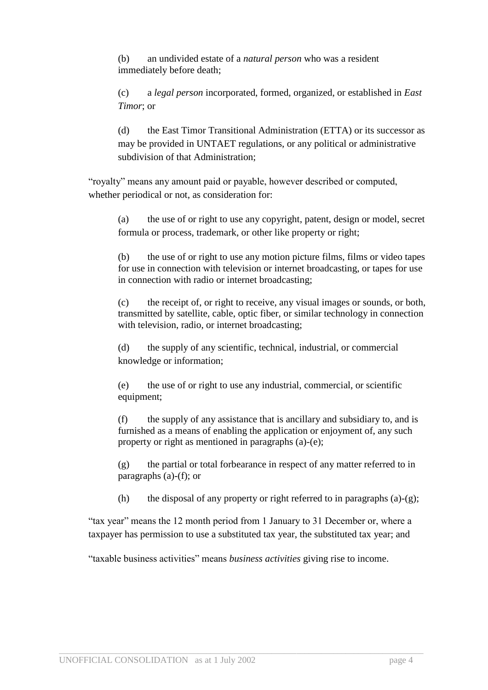(b) an undivided estate of a *natural person* who was a resident immediately before death;

(c) a *legal person* incorporated, formed, organized, or established in *East Timor*; or

(d) the East Timor Transitional Administration (ETTA) or its successor as may be provided in UNTAET regulations, or any political or administrative subdivision of that Administration;

"royalty" means any amount paid or payable, however described or computed, whether periodical or not, as consideration for:

(a) the use of or right to use any copyright, patent, design or model, secret formula or process, trademark, or other like property or right;

(b) the use of or right to use any motion picture films, films or video tapes for use in connection with television or internet broadcasting, or tapes for use in connection with radio or internet broadcasting;

(c) the receipt of, or right to receive, any visual images or sounds, or both, transmitted by satellite, cable, optic fiber, or similar technology in connection with television, radio, or internet broadcasting;

(d) the supply of any scientific, technical, industrial, or commercial knowledge or information;

(e) the use of or right to use any industrial, commercial, or scientific equipment;

(f) the supply of any assistance that is ancillary and subsidiary to, and is furnished as a means of enabling the application or enjoyment of, any such property or right as mentioned in paragraphs (a)-(e);

(g) the partial or total forbearance in respect of any matter referred to in paragraphs (a)-(f); or

(h) the disposal of any property or right referred to in paragraphs (a)-(g);

"tax year" means the 12 month period from 1 January to 31 December or, where a taxpayer has permission to use a substituted tax year, the substituted tax year; and

"taxable business activities" means *business activities* giving rise to income.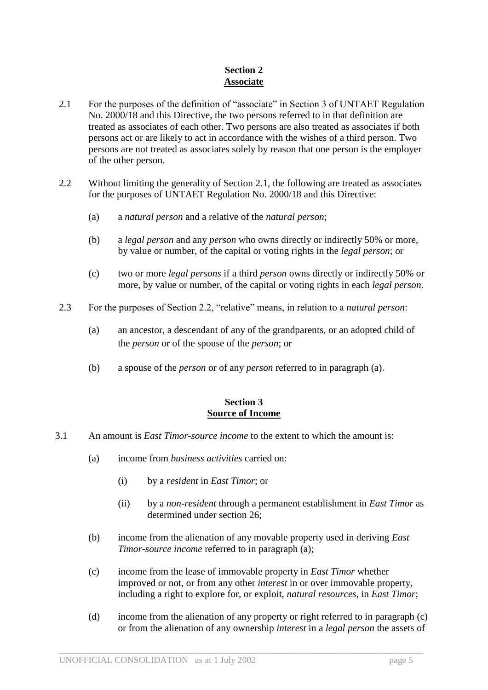## **Section 2 Associate**

- 2.1 For the purposes of the definition of "associate" in Section 3 of UNTAET Regulation No. 2000/18 and this Directive, the two persons referred to in that definition are treated as associates of each other. Two persons are also treated as associates if both persons act or are likely to act in accordance with the wishes of a third person. Two persons are not treated as associates solely by reason that one person is the employer of the other person.
- 2.2 Without limiting the generality of Section 2.1, the following are treated as associates for the purposes of UNTAET Regulation No. 2000/18 and this Directive:
	- (a) a *natural person* and a relative of the *natural person*;
	- (b) a *legal person* and any *person* who owns directly or indirectly 50% or more, by value or number, of the capital or voting rights in the *legal person*; or
	- (c) two or more *legal persons* if a third *person* owns directly or indirectly 50% or more, by value or number, of the capital or voting rights in each *legal person*.
- 2.3 For the purposes of Section 2.2, "relative" means, in relation to a *natural person*:
	- (a) an ancestor, a descendant of any of the grandparents, or an adopted child of the *person* or of the spouse of the *person*; or
	- (b) a spouse of the *person* or of any *person* referred to in paragraph (a).

## **Section 3 Source of Income**

- 3.1 An amount is *East Timor-source income* to the extent to which the amount is:
	- (a) income from *business activities* carried on:
		- (i) by a *resident* in *East Timor*; or
		- (ii) by a *non-resident* through a permanent establishment in *East Timor* as determined under section 26;
	- (b) income from the alienation of any movable property used in deriving *East Timor-source income* referred to in paragraph (a);
	- (c) income from the lease of immovable property in *East Timor* whether improved or not, or from any other *interest* in or over immovable property, including a right to explore for, or exploit, *natural resources*, in *East Timor*;
	- (d) income from the alienation of any property or right referred to in paragraph (c) or from the alienation of any ownership *interest* in a *legal person* the assets of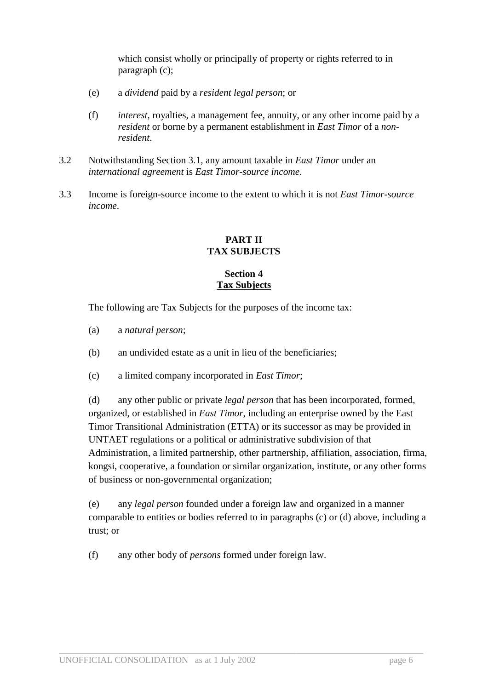which consist wholly or principally of property or rights referred to in paragraph (c);

- (e) a *dividend* paid by a *resident legal person*; or
- (f) *interest*, royalties, a management fee, annuity, or any other income paid by a *resident* or borne by a permanent establishment in *East Timor* of a *nonresident*.
- 3.2 Notwithstanding Section 3.1, any amount taxable in *East Timor* under an *international agreement* is *East Timor-source income*.
- 3.3 Income is foreign-source income to the extent to which it is not *East Timor-source income*.

## **PART II TAX SUBJECTS**

## **Section 4 Tax Subjects**

The following are Tax Subjects for the purposes of the income tax:

- (a) a *natural person*;
- (b) an undivided estate as a unit in lieu of the beneficiaries;
- (c) a limited company incorporated in *East Timor*;

(d) any other public or private *legal person* that has been incorporated, formed, organized, or established in *East Timor*, including an enterprise owned by the East Timor Transitional Administration (ETTA) or its successor as may be provided in UNTAET regulations or a political or administrative subdivision of that Administration, a limited partnership, other partnership, affiliation, association, firma, kongsi, cooperative, a foundation or similar organization, institute, or any other forms of business or non-governmental organization;

(e) any *legal person* founded under a foreign law and organized in a manner comparable to entities or bodies referred to in paragraphs (c) or (d) above, including a trust; or

 $\_$  ,  $\_$  ,  $\_$  ,  $\_$  ,  $\_$  ,  $\_$  ,  $\_$  ,  $\_$  ,  $\_$  ,  $\_$  ,  $\_$  ,  $\_$  ,  $\_$  ,  $\_$  ,  $\_$  ,  $\_$  ,  $\_$  ,  $\_$  ,  $\_$  ,  $\_$  ,  $\_$  ,  $\_$  ,  $\_$  ,  $\_$  ,  $\_$  ,  $\_$  ,  $\_$  ,  $\_$  ,  $\_$  ,  $\_$  ,  $\_$  ,  $\_$  ,  $\_$  ,  $\_$  ,  $\_$  ,  $\_$  ,  $\_$  ,

(f) any other body of *persons* formed under foreign law.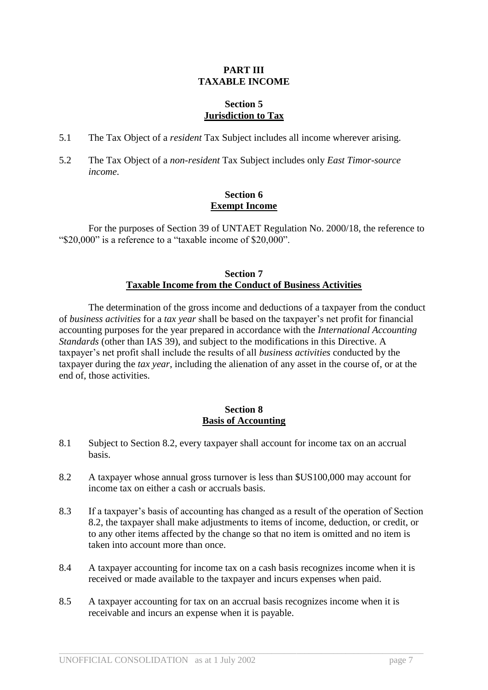#### **PART III TAXABLE INCOME**

## **Section 5 Jurisdiction to Tax**

- 5.1 The Tax Object of a *resident* Tax Subject includes all income wherever arising.
- 5.2 The Tax Object of a *non-resident* Tax Subject includes only *East Timor-source income*.

## **Section 6 Exempt Income**

For the purposes of Section 39 of UNTAET Regulation No. 2000/18, the reference to "\$20,000" is a reference to a "taxable income of \$20,000".

## **Section 7 Taxable Income from the Conduct of Business Activities**

The determination of the gross income and deductions of a taxpayer from the conduct of *business activities* for a *tax year* shall be based on the taxpayer's net profit for financial accounting purposes for the year prepared in accordance with the *International Accounting Standards* (other than IAS 39), and subject to the modifications in this Directive. A taxpayer's net profit shall include the results of all *business activities* conducted by the taxpayer during the *tax year*, including the alienation of any asset in the course of, or at the end of, those activities.

## **Section 8 Basis of Accounting**

- 8.1 Subject to Section 8.2, every taxpayer shall account for income tax on an accrual basis.
- 8.2 A taxpayer whose annual gross turnover is less than \$US100,000 may account for income tax on either a cash or accruals basis.
- 8.3 If a taxpayer's basis of accounting has changed as a result of the operation of Section 8.2, the taxpayer shall make adjustments to items of income, deduction, or credit, or to any other items affected by the change so that no item is omitted and no item is taken into account more than once.
- 8.4 A taxpayer accounting for income tax on a cash basis recognizes income when it is received or made available to the taxpayer and incurs expenses when paid.

 $\_$  ,  $\_$  ,  $\_$  ,  $\_$  ,  $\_$  ,  $\_$  ,  $\_$  ,  $\_$  ,  $\_$  ,  $\_$  ,  $\_$  ,  $\_$  ,  $\_$  ,  $\_$  ,  $\_$  ,  $\_$  ,  $\_$  ,  $\_$  ,  $\_$  ,  $\_$  ,  $\_$  ,  $\_$  ,  $\_$  ,  $\_$  ,  $\_$  ,  $\_$  ,  $\_$  ,  $\_$  ,  $\_$  ,  $\_$  ,  $\_$  ,  $\_$  ,  $\_$  ,  $\_$  ,  $\_$  ,  $\_$  ,  $\_$  ,

8.5 A taxpayer accounting for tax on an accrual basis recognizes income when it is receivable and incurs an expense when it is payable.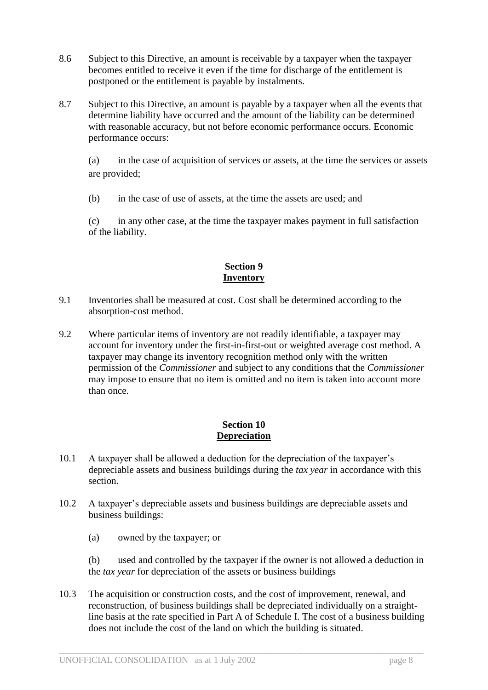- 8.6 Subject to this Directive, an amount is receivable by a taxpayer when the taxpayer becomes entitled to receive it even if the time for discharge of the entitlement is postponed or the entitlement is payable by instalments.
- 8.7 Subject to this Directive, an amount is payable by a taxpayer when all the events that determine liability have occurred and the amount of the liability can be determined with reasonable accuracy, but not before economic performance occurs. Economic performance occurs:

(a) in the case of acquisition of services or assets, at the time the services or assets are provided;

(b) in the case of use of assets, at the time the assets are used; and

(c) in any other case, at the time the taxpayer makes payment in full satisfaction of the liability.

## **Section 9 Inventory**

- 9.1 Inventories shall be measured at cost. Cost shall be determined according to the absorption-cost method.
- 9.2 Where particular items of inventory are not readily identifiable, a taxpayer may account for inventory under the first-in-first-out or weighted average cost method. A taxpayer may change its inventory recognition method only with the written permission of the *Commissioner* and subject to any conditions that the *Commissioner* may impose to ensure that no item is omitted and no item is taken into account more than once.

## **Section 10 Depreciation**

- 10.1 A taxpayer shall be allowed a deduction for the depreciation of the taxpayer's depreciable assets and business buildings during the *tax year* in accordance with this section.
- 10.2 A taxpayer's depreciable assets and business buildings are depreciable assets and business buildings:
	- (a) owned by the taxpayer; or

(b) used and controlled by the taxpayer if the owner is not allowed a deduction in the *tax year* for depreciation of the assets or business buildings

10.3 The acquisition or construction costs, and the cost of improvement, renewal, and reconstruction, of business buildings shall be depreciated individually on a straightline basis at the rate specified in Part A of Schedule I. The cost of a business building does not include the cost of the land on which the building is situated.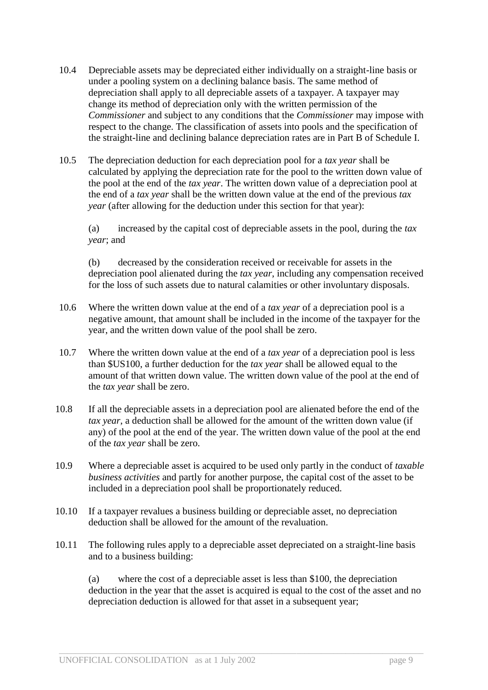- 10.4 Depreciable assets may be depreciated either individually on a straight-line basis or under a pooling system on a declining balance basis. The same method of depreciation shall apply to all depreciable assets of a taxpayer. A taxpayer may change its method of depreciation only with the written permission of the *Commissioner* and subject to any conditions that the *Commissioner* may impose with respect to the change. The classification of assets into pools and the specification of the straight-line and declining balance depreciation rates are in Part B of Schedule I.
- 10.5 The depreciation deduction for each depreciation pool for a *tax year* shall be calculated by applying the depreciation rate for the pool to the written down value of the pool at the end of the *tax year*. The written down value of a depreciation pool at the end of a *tax year* shall be the written down value at the end of the previous *tax year* (after allowing for the deduction under this section for that year):

(a) increased by the capital cost of depreciable assets in the pool, during the *tax year*; and

(b) decreased by the consideration received or receivable for assets in the depreciation pool alienated during the *tax year*, including any compensation received for the loss of such assets due to natural calamities or other involuntary disposals.

- 10.6 Where the written down value at the end of a *tax year* of a depreciation pool is a negative amount, that amount shall be included in the income of the taxpayer for the year, and the written down value of the pool shall be zero.
- 10.7 Where the written down value at the end of a *tax year* of a depreciation pool is less than \$US100, a further deduction for the *tax year* shall be allowed equal to the amount of that written down value. The written down value of the pool at the end of the *tax year* shall be zero.
- 10.8 If all the depreciable assets in a depreciation pool are alienated before the end of the *tax year*, a deduction shall be allowed for the amount of the written down value (if any) of the pool at the end of the year. The written down value of the pool at the end of the *tax year* shall be zero.
- 10.9 Where a depreciable asset is acquired to be used only partly in the conduct of *taxable business activities* and partly for another purpose, the capital cost of the asset to be included in a depreciation pool shall be proportionately reduced.
- 10.10 If a taxpayer revalues a business building or depreciable asset, no depreciation deduction shall be allowed for the amount of the revaluation.
- 10.11 The following rules apply to a depreciable asset depreciated on a straight-line basis and to a business building:

 $\_$  ,  $\_$  ,  $\_$  ,  $\_$  ,  $\_$  ,  $\_$  ,  $\_$  ,  $\_$  ,  $\_$  ,  $\_$  ,  $\_$  ,  $\_$  ,  $\_$  ,  $\_$  ,  $\_$  ,  $\_$  ,  $\_$  ,  $\_$  ,  $\_$  ,  $\_$  ,  $\_$  ,  $\_$  ,  $\_$  ,  $\_$  ,  $\_$  ,  $\_$  ,  $\_$  ,  $\_$  ,  $\_$  ,  $\_$  ,  $\_$  ,  $\_$  ,  $\_$  ,  $\_$  ,  $\_$  ,  $\_$  ,  $\_$  ,

(a) where the cost of a depreciable asset is less than \$100, the depreciation deduction in the year that the asset is acquired is equal to the cost of the asset and no depreciation deduction is allowed for that asset in a subsequent year;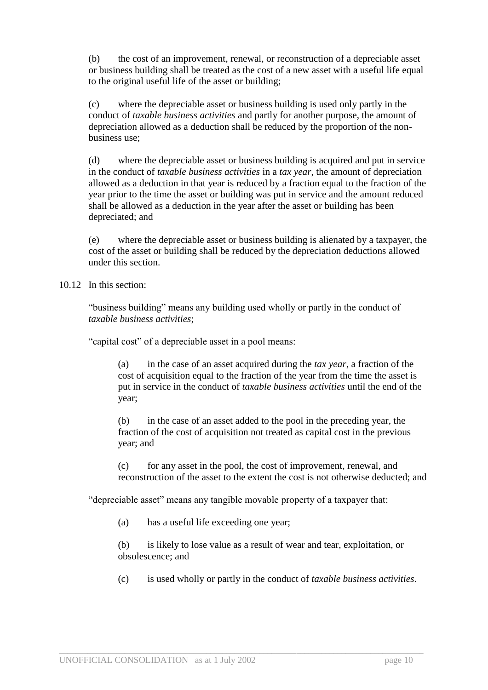(b) the cost of an improvement, renewal, or reconstruction of a depreciable asset or business building shall be treated as the cost of a new asset with a useful life equal to the original useful life of the asset or building;

(c) where the depreciable asset or business building is used only partly in the conduct of *taxable business activities* and partly for another purpose, the amount of depreciation allowed as a deduction shall be reduced by the proportion of the nonbusiness use;

(d) where the depreciable asset or business building is acquired and put in service in the conduct of *taxable business activities* in a *tax year*, the amount of depreciation allowed as a deduction in that year is reduced by a fraction equal to the fraction of the year prior to the time the asset or building was put in service and the amount reduced shall be allowed as a deduction in the year after the asset or building has been depreciated; and

(e) where the depreciable asset or business building is alienated by a taxpayer, the cost of the asset or building shall be reduced by the depreciation deductions allowed under this section.

10.12 In this section:

"business building" means any building used wholly or partly in the conduct of *taxable business activities*;

"capital cost" of a depreciable asset in a pool means:

(a) in the case of an asset acquired during the *tax year*, a fraction of the cost of acquisition equal to the fraction of the year from the time the asset is put in service in the conduct of *taxable business activities* until the end of the year;

(b) in the case of an asset added to the pool in the preceding year, the fraction of the cost of acquisition not treated as capital cost in the previous year; and

(c) for any asset in the pool, the cost of improvement, renewal, and reconstruction of the asset to the extent the cost is not otherwise deducted; and

"depreciable asset" means any tangible movable property of a taxpayer that:

 $\_$  ,  $\_$  ,  $\_$  ,  $\_$  ,  $\_$  ,  $\_$  ,  $\_$  ,  $\_$  ,  $\_$  ,  $\_$  ,  $\_$  ,  $\_$  ,  $\_$  ,  $\_$  ,  $\_$  ,  $\_$  ,  $\_$  ,  $\_$  ,  $\_$  ,  $\_$  ,  $\_$  ,  $\_$  ,  $\_$  ,  $\_$  ,  $\_$  ,  $\_$  ,  $\_$  ,  $\_$  ,  $\_$  ,  $\_$  ,  $\_$  ,  $\_$  ,  $\_$  ,  $\_$  ,  $\_$  ,  $\_$  ,  $\_$  ,

(a) has a useful life exceeding one year;

(b) is likely to lose value as a result of wear and tear, exploitation, or obsolescence; and

(c) is used wholly or partly in the conduct of *taxable business activities*.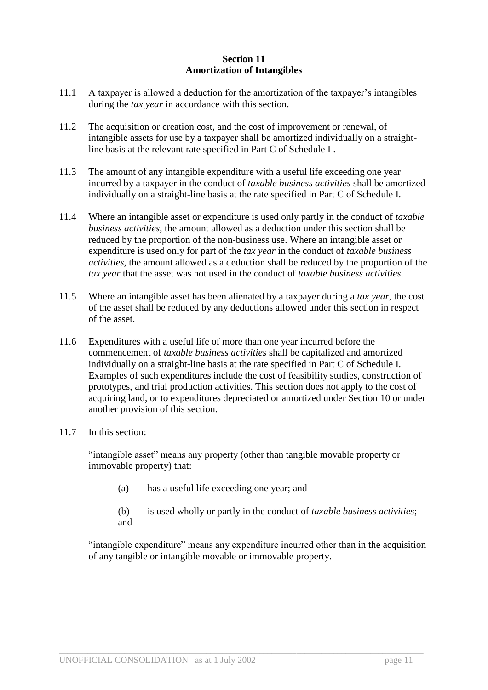## **Section 11 Amortization of Intangibles**

- 11.1 A taxpayer is allowed a deduction for the amortization of the taxpayer's intangibles during the *tax year* in accordance with this section.
- 11.2 The acquisition or creation cost, and the cost of improvement or renewal, of intangible assets for use by a taxpayer shall be amortized individually on a straightline basis at the relevant rate specified in Part C of Schedule I .
- 11.3 The amount of any intangible expenditure with a useful life exceeding one year incurred by a taxpayer in the conduct of *taxable business activities* shall be amortized individually on a straight-line basis at the rate specified in Part C of Schedule I.
- 11.4 Where an intangible asset or expenditure is used only partly in the conduct of *taxable business activities*, the amount allowed as a deduction under this section shall be reduced by the proportion of the non-business use. Where an intangible asset or expenditure is used only for part of the *tax year* in the conduct of *taxable business activities*, the amount allowed as a deduction shall be reduced by the proportion of the *tax year* that the asset was not used in the conduct of *taxable business activities*.
- 11.5 Where an intangible asset has been alienated by a taxpayer during a *tax year*, the cost of the asset shall be reduced by any deductions allowed under this section in respect of the asset.
- 11.6 Expenditures with a useful life of more than one year incurred before the commencement of *taxable business activities* shall be capitalized and amortized individually on a straight-line basis at the rate specified in Part C of Schedule I. Examples of such expenditures include the cost of feasibility studies, construction of prototypes, and trial production activities. This section does not apply to the cost of acquiring land, or to expenditures depreciated or amortized under Section 10 or under another provision of this section.
- 11.7 In this section:

"intangible asset" means any property (other than tangible movable property or immovable property) that:

- (a) has a useful life exceeding one year; and
- (b) is used wholly or partly in the conduct of *taxable business activities*; and

"intangible expenditure" means any expenditure incurred other than in the acquisition of any tangible or intangible movable or immovable property.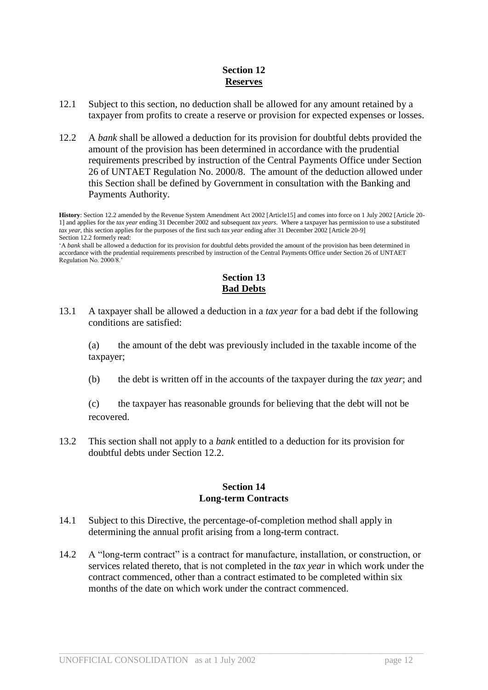## **Section 12 Reserves**

- 12.1 Subject to this section, no deduction shall be allowed for any amount retained by a taxpayer from profits to create a reserve or provision for expected expenses or losses.
- 12.2 A *bank* shall be allowed a deduction for its provision for doubtful debts provided the amount of the provision has been determined in accordance with the prudential requirements prescribed by instruction of the Central Payments Office under Section 26 of UNTAET Regulation No. 2000/8. The amount of the deduction allowed under this Section shall be defined by Government in consultation with the Banking and Payments Authority.

**History**: Section 12.2 amended by the Revenue System Amendment Act 2002 [Article15] and comes into force on 1 July 2002 [Article 20- 1] and applies for the *tax year* ending 31 December 2002 and subsequent *tax years*. Where a taxpayer has permission to use a substituted *tax year*, this section applies for the purposes of the first such *tax year* ending after 31 December 2002 [Article 20-9] Section 12.2 formerly read:

'A *bank* shall be allowed a deduction for its provision for doubtful debts provided the amount of the provision has been determined in accordance with the prudential requirements prescribed by instruction of the Central Payments Office under Section 26 of UNTAET Regulation No. 2000/8.'

## **Section 13 Bad Debts**

13.1 A taxpayer shall be allowed a deduction in a *tax year* for a bad debt if the following conditions are satisfied:

(a) the amount of the debt was previously included in the taxable income of the taxpayer;

(b) the debt is written off in the accounts of the taxpayer during the *tax year*; and

(c) the taxpayer has reasonable grounds for believing that the debt will not be recovered.

13.2 This section shall not apply to a *bank* entitled to a deduction for its provision for doubtful debts under Section 12.2.

## **Section 14 Long-term Contracts**

- 14.1 Subject to this Directive, the percentage-of-completion method shall apply in determining the annual profit arising from a long-term contract.
- 14.2 A "long-term contract" is a contract for manufacture, installation, or construction, or services related thereto, that is not completed in the *tax year* in which work under the contract commenced, other than a contract estimated to be completed within six months of the date on which work under the contract commenced.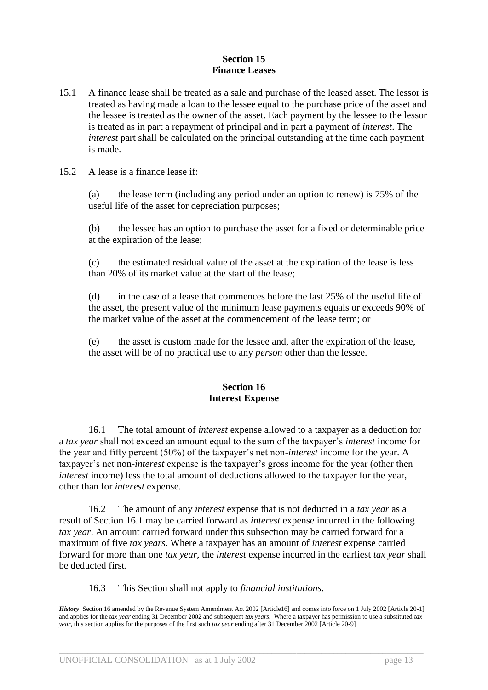## **Section 15 Finance Leases**

- 15.1 A finance lease shall be treated as a sale and purchase of the leased asset. The lessor is treated as having made a loan to the lessee equal to the purchase price of the asset and the lessee is treated as the owner of the asset. Each payment by the lessee to the lessor is treated as in part a repayment of principal and in part a payment of *interest*. The *interest* part shall be calculated on the principal outstanding at the time each payment is made.
- 15.2 A lease is a finance lease if:

(a) the lease term (including any period under an option to renew) is 75% of the useful life of the asset for depreciation purposes;

(b) the lessee has an option to purchase the asset for a fixed or determinable price at the expiration of the lease;

(c) the estimated residual value of the asset at the expiration of the lease is less than 20% of its market value at the start of the lease;

(d) in the case of a lease that commences before the last 25% of the useful life of the asset, the present value of the minimum lease payments equals or exceeds 90% of the market value of the asset at the commencement of the lease term; or

(e) the asset is custom made for the lessee and, after the expiration of the lease, the asset will be of no practical use to any *person* other than the lessee.

## **Section 16 Interest Expense**

16.1 The total amount of *interest* expense allowed to a taxpayer as a deduction for a *tax year* shall not exceed an amount equal to the sum of the taxpayer's *interest* income for the year and fifty percent (50%) of the taxpayer's net non-*interest* income for the year. A taxpayer's net non-*interest* expense is the taxpayer's gross income for the year (other then *interest* income) less the total amount of deductions allowed to the taxpayer for the year, other than for *interest* expense.

16.2 The amount of any *interest* expense that is not deducted in a *tax year* as a result of Section 16.1 may be carried forward as *interest* expense incurred in the following *tax year*. An amount carried forward under this subsection may be carried forward for a maximum of five *tax years*. Where a taxpayer has an amount of *interest* expense carried forward for more than one *tax year*, the *interest* expense incurred in the earliest *tax year* shall be deducted first.

16.3 This Section shall not apply to *financial institutions*.

*History*: Section 16 amended by the Revenue System Amendment Act 2002 [Article16] and comes into force on 1 July 2002 [Article 20-1] and applies for the *tax year* ending 31 December 2002 and subsequent *tax years*. Where a taxpayer has permission to use a substituted *tax year*, this section applies for the purposes of the first such *tax year* ending after 31 December 2002 [Article 20-9]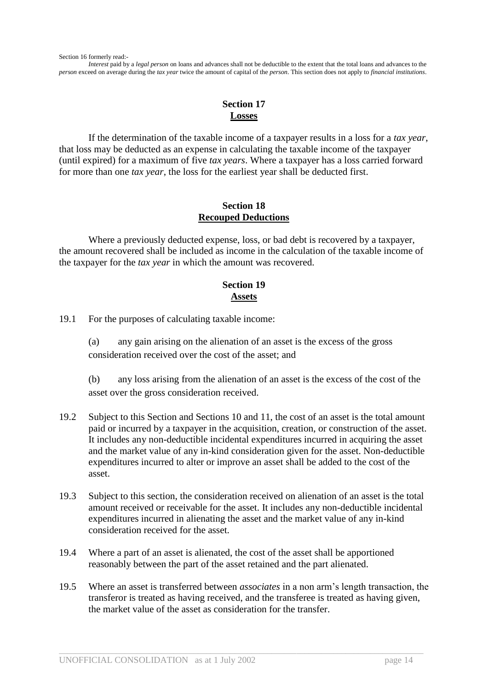*Interest* paid by a *legal person* on loans and advances shall not be deductible to the extent that the total loans and advances to the *person* exceed on average during the *tax year* twice the amount of capital of the *person*. This section does not apply to *financial institutions*.

## **Section 17 Losses**

If the determination of the taxable income of a taxpayer results in a loss for a *tax year*, that loss may be deducted as an expense in calculating the taxable income of the taxpayer (until expired) for a maximum of five *tax years*. Where a taxpayer has a loss carried forward for more than one *tax year*, the loss for the earliest year shall be deducted first.

## **Section 18 Recouped Deductions**

Where a previously deducted expense, loss, or bad debt is recovered by a taxpayer, the amount recovered shall be included as income in the calculation of the taxable income of the taxpayer for the *tax year* in which the amount was recovered.

## **Section 19 Assets**

19.1 For the purposes of calculating taxable income:

(a) any gain arising on the alienation of an asset is the excess of the gross consideration received over the cost of the asset; and

(b) any loss arising from the alienation of an asset is the excess of the cost of the asset over the gross consideration received.

- 19.2 Subject to this Section and Sections 10 and 11, the cost of an asset is the total amount paid or incurred by a taxpayer in the acquisition, creation, or construction of the asset. It includes any non-deductible incidental expenditures incurred in acquiring the asset and the market value of any in-kind consideration given for the asset. Non-deductible expenditures incurred to alter or improve an asset shall be added to the cost of the asset.
- 19.3 Subject to this section, the consideration received on alienation of an asset is the total amount received or receivable for the asset. It includes any non-deductible incidental expenditures incurred in alienating the asset and the market value of any in-kind consideration received for the asset.
- 19.4 Where a part of an asset is alienated, the cost of the asset shall be apportioned reasonably between the part of the asset retained and the part alienated.
- 19.5 Where an asset is transferred between *associates* in a non arm's length transaction, the transferor is treated as having received, and the transferee is treated as having given, the market value of the asset as consideration for the transfer.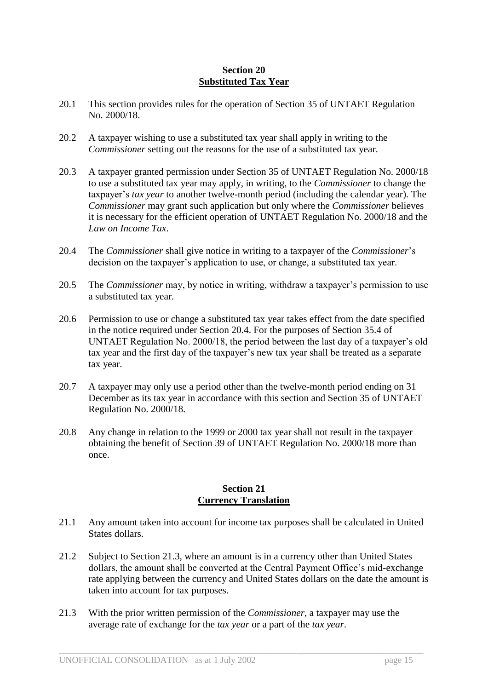## **Section 20 Substituted Tax Year**

- 20.1 This section provides rules for the operation of Section 35 of UNTAET Regulation No. 2000/18.
- 20.2 A taxpayer wishing to use a substituted tax year shall apply in writing to the *Commissioner* setting out the reasons for the use of a substituted tax year.
- 20.3 A taxpayer granted permission under Section 35 of UNTAET Regulation No. 2000/18 to use a substituted tax year may apply, in writing, to the *Commissioner* to change the taxpayer's *tax year* to another twelve-month period (including the calendar year). The *Commissioner* may grant such application but only where the *Commissioner* believes it is necessary for the efficient operation of UNTAET Regulation No. 2000/18 and the *Law on Income Tax*.
- 20.4 The *Commissioner* shall give notice in writing to a taxpayer of the *Commissioner*'s decision on the taxpayer's application to use, or change, a substituted tax year.
- 20.5 The *Commissioner* may, by notice in writing, withdraw a taxpayer's permission to use a substituted tax year.
- 20.6 Permission to use or change a substituted tax year takes effect from the date specified in the notice required under Section 20.4. For the purposes of Section 35.4 of UNTAET Regulation No. 2000/18, the period between the last day of a taxpayer's old tax year and the first day of the taxpayer's new tax year shall be treated as a separate tax year.
- 20.7 A taxpayer may only use a period other than the twelve-month period ending on 31 December as its tax year in accordance with this section and Section 35 of UNTAET Regulation No. 2000/18.
- 20.8 Any change in relation to the 1999 or 2000 tax year shall not result in the taxpayer obtaining the benefit of Section 39 of UNTAET Regulation No. 2000/18 more than once.

## **Section 21 Currency Translation**

- 21.1 Any amount taken into account for income tax purposes shall be calculated in United States dollars.
- 21.2 Subject to Section 21.3, where an amount is in a currency other than United States dollars, the amount shall be converted at the Central Payment Office's mid-exchange rate applying between the currency and United States dollars on the date the amount is taken into account for tax purposes.
- 21.3 With the prior written permission of the *Commissioner*, a taxpayer may use the average rate of exchange for the *tax year* or a part of the *tax year*.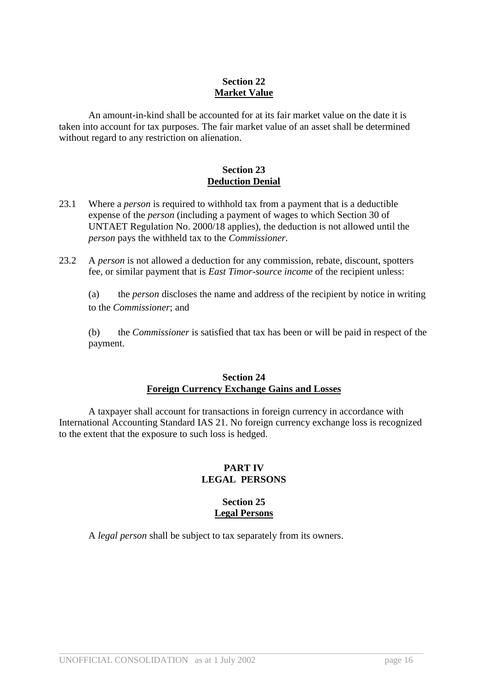## **Section 22 Market Value**

An amount-in-kind shall be accounted for at its fair market value on the date it is taken into account for tax purposes. The fair market value of an asset shall be determined without regard to any restriction on alienation.

## **Section 23 Deduction Denial**

- 23.1 Where a *person* is required to withhold tax from a payment that is a deductible expense of the *person* (including a payment of wages to which Section 30 of UNTAET Regulation No. 2000/18 applies), the deduction is not allowed until the *person* pays the withheld tax to the *Commissioner*.
- 23.2 A *person* is not allowed a deduction for any commission, rebate, discount, spotters fee, or similar payment that is *East Timor-source income* of the recipient unless:

(a) the *person* discloses the name and address of the recipient by notice in writing to the *Commissioner*; and

(b) the *Commissioner* is satisfied that tax has been or will be paid in respect of the payment.

#### **Section 24 Foreign Currency Exchange Gains and Losses**

A taxpayer shall account for transactions in foreign currency in accordance with International Accounting Standard IAS 21. No foreign currency exchange loss is recognized to the extent that the exposure to such loss is hedged.

## **PART IV LEGAL PERSONS**

## **Section 25 Legal Persons**

 $\_$  ,  $\_$  ,  $\_$  ,  $\_$  ,  $\_$  ,  $\_$  ,  $\_$  ,  $\_$  ,  $\_$  ,  $\_$  ,  $\_$  ,  $\_$  ,  $\_$  ,  $\_$  ,  $\_$  ,  $\_$  ,  $\_$  ,  $\_$  ,  $\_$  ,  $\_$  ,  $\_$  ,  $\_$  ,  $\_$  ,  $\_$  ,  $\_$  ,  $\_$  ,  $\_$  ,  $\_$  ,  $\_$  ,  $\_$  ,  $\_$  ,  $\_$  ,  $\_$  ,  $\_$  ,  $\_$  ,  $\_$  ,  $\_$  ,

A *legal person* shall be subject to tax separately from its owners.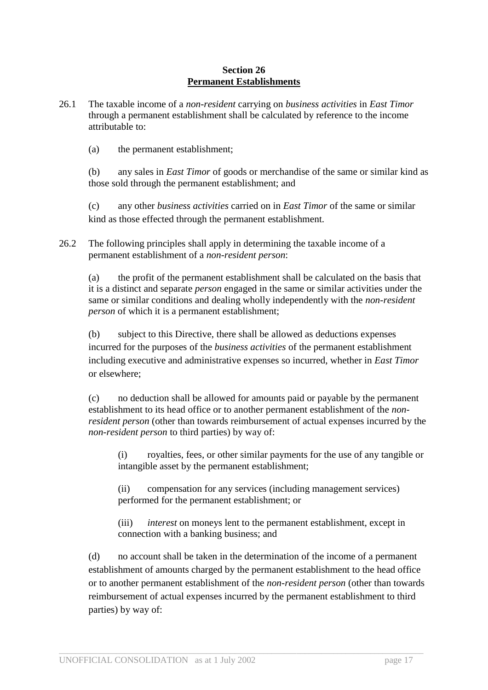## **Section 26 Permanent Establishments**

26.1 The taxable income of a *non-resident* carrying on *business activities* in *East Timor* through a permanent establishment shall be calculated by reference to the income attributable to:

(a) the permanent establishment;

(b) any sales in *East Timor* of goods or merchandise of the same or similar kind as those sold through the permanent establishment; and

(c) any other *business activities* carried on in *East Timor* of the same or similar kind as those effected through the permanent establishment.

26.2 The following principles shall apply in determining the taxable income of a permanent establishment of a *non-resident person*:

(a) the profit of the permanent establishment shall be calculated on the basis that it is a distinct and separate *person* engaged in the same or similar activities under the same or similar conditions and dealing wholly independently with the *non-resident person* of which it is a permanent establishment;

(b) subject to this Directive, there shall be allowed as deductions expenses incurred for the purposes of the *business activities* of the permanent establishment including executive and administrative expenses so incurred, whether in *East Timor* or elsewhere;

(c) no deduction shall be allowed for amounts paid or payable by the permanent establishment to its head office or to another permanent establishment of the *nonresident person* (other than towards reimbursement of actual expenses incurred by the *non-resident person* to third parties) by way of:

(i) royalties, fees, or other similar payments for the use of any tangible or intangible asset by the permanent establishment;

(ii) compensation for any services (including management services) performed for the permanent establishment; or

(iii) *interest* on moneys lent to the permanent establishment, except in connection with a banking business; and

(d) no account shall be taken in the determination of the income of a permanent establishment of amounts charged by the permanent establishment to the head office or to another permanent establishment of the *non-resident person* (other than towards reimbursement of actual expenses incurred by the permanent establishment to third parties) by way of: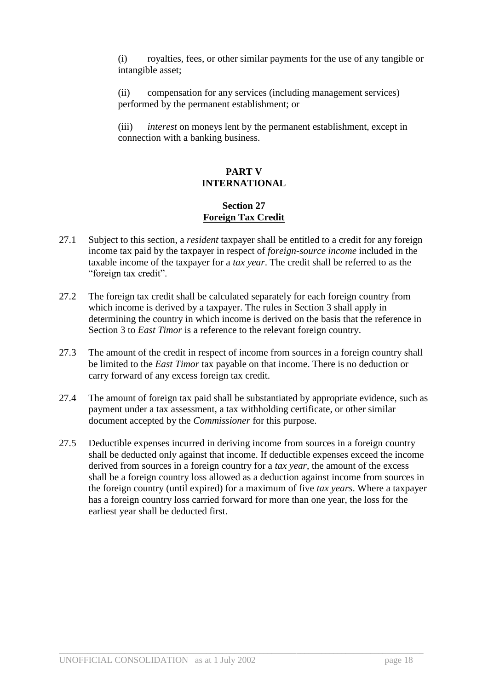(i) royalties, fees, or other similar payments for the use of any tangible or intangible asset;

(ii) compensation for any services (including management services) performed by the permanent establishment; or

(iii) *interest* on moneys lent by the permanent establishment, except in connection with a banking business.

## **PART V INTERNATIONAL**

## **Section 27 Foreign Tax Credit**

- 27.1 Subject to this section, a *resident* taxpayer shall be entitled to a credit for any foreign income tax paid by the taxpayer in respect of *foreign-source income* included in the taxable income of the taxpayer for a *tax year*. The credit shall be referred to as the "foreign tax credit".
- 27.2 The foreign tax credit shall be calculated separately for each foreign country from which income is derived by a taxpayer. The rules in Section 3 shall apply in determining the country in which income is derived on the basis that the reference in Section 3 to *East Timor* is a reference to the relevant foreign country.
- 27.3 The amount of the credit in respect of income from sources in a foreign country shall be limited to the *East Timor* tax payable on that income. There is no deduction or carry forward of any excess foreign tax credit.
- 27.4 The amount of foreign tax paid shall be substantiated by appropriate evidence, such as payment under a tax assessment, a tax withholding certificate, or other similar document accepted by the *Commissioner* for this purpose.
- 27.5 Deductible expenses incurred in deriving income from sources in a foreign country shall be deducted only against that income. If deductible expenses exceed the income derived from sources in a foreign country for a *tax year*, the amount of the excess shall be a foreign country loss allowed as a deduction against income from sources in the foreign country (until expired) for a maximum of five *tax years*. Where a taxpayer has a foreign country loss carried forward for more than one year, the loss for the earliest year shall be deducted first.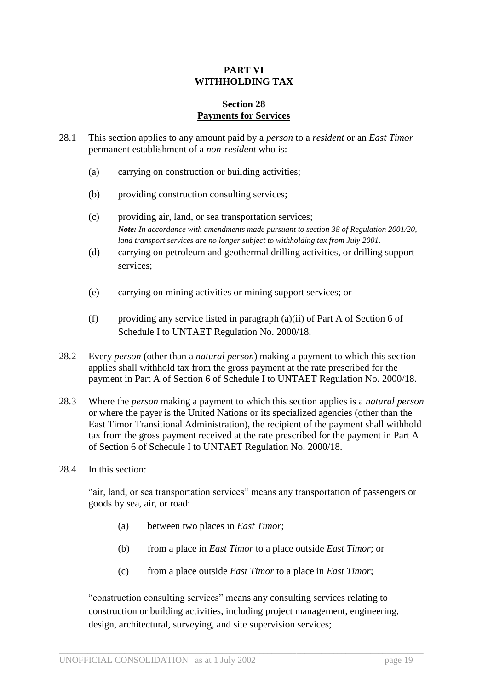## **PART VI WITHHOLDING TAX**

#### **Section 28 Payments for Services**

- 28.1 This section applies to any amount paid by a *person* to a *resident* or an *East Timor* permanent establishment of a *non-resident* who is:
	- (a) carrying on construction or building activities;
	- (b) providing construction consulting services;
	- (c) providing air, land, or sea transportation services; *Note: In accordance with amendments made pursuant to section 38 of Regulation 2001/20, land transport services are no longer subject to withholding tax from July 2001.*
	- (d) carrying on petroleum and geothermal drilling activities, or drilling support services;
	- (e) carrying on mining activities or mining support services; or
	- (f) providing any service listed in paragraph (a)(ii) of Part A of Section 6 of Schedule I to UNTAET Regulation No. 2000/18.
- 28.2 Every *person* (other than a *natural person*) making a payment to which this section applies shall withhold tax from the gross payment at the rate prescribed for the payment in Part A of Section 6 of Schedule I to UNTAET Regulation No. 2000/18.
- 28.3 Where the *person* making a payment to which this section applies is a *natural person* or where the payer is the United Nations or its specialized agencies (other than the East Timor Transitional Administration), the recipient of the payment shall withhold tax from the gross payment received at the rate prescribed for the payment in Part A of Section 6 of Schedule I to UNTAET Regulation No. 2000/18.
- 28.4 In this section:

"air, land, or sea transportation services" means any transportation of passengers or goods by sea, air, or road:

- (a) between two places in *East Timor*;
- (b) from a place in *East Timor* to a place outside *East Timor*; or
- (c) from a place outside *East Timor* to a place in *East Timor*;

"construction consulting services" means any consulting services relating to construction or building activities, including project management, engineering, design, architectural, surveying, and site supervision services;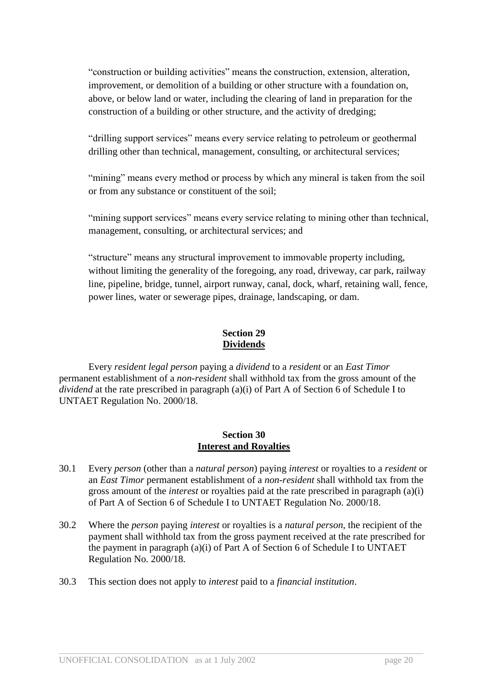"construction or building activities" means the construction, extension, alteration, improvement, or demolition of a building or other structure with a foundation on, above, or below land or water, including the clearing of land in preparation for the construction of a building or other structure, and the activity of dredging;

"drilling support services" means every service relating to petroleum or geothermal drilling other than technical, management, consulting, or architectural services;

"mining" means every method or process by which any mineral is taken from the soil or from any substance or constituent of the soil;

"mining support services" means every service relating to mining other than technical, management, consulting, or architectural services; and

"structure" means any structural improvement to immovable property including, without limiting the generality of the foregoing, any road, driveway, car park, railway line, pipeline, bridge, tunnel, airport runway, canal, dock, wharf, retaining wall, fence, power lines, water or sewerage pipes, drainage, landscaping, or dam.

## **Section 29 Dividends**

Every *resident legal person* paying a *dividend* to a *resident* or an *East Timor* permanent establishment of a *non-resident* shall withhold tax from the gross amount of the *dividend* at the rate prescribed in paragraph (a)(i) of Part A of Section 6 of Schedule I to UNTAET Regulation No. 2000/18.

## **Section 30 Interest and Royalties**

- 30.1 Every *person* (other than a *natural person*) paying *interest* or royalties to a *resident* or an *East Timor* permanent establishment of a *non-resident* shall withhold tax from the gross amount of the *interest* or royalties paid at the rate prescribed in paragraph (a)(i) of Part A of Section 6 of Schedule I to UNTAET Regulation No. 2000/18.
- 30.2 Where the *person* paying *interest* or royalties is a *natural person*, the recipient of the payment shall withhold tax from the gross payment received at the rate prescribed for the payment in paragraph (a)(i) of Part A of Section 6 of Schedule I to UNTAET Regulation No. 2000/18.

 $\_$  ,  $\_$  ,  $\_$  ,  $\_$  ,  $\_$  ,  $\_$  ,  $\_$  ,  $\_$  ,  $\_$  ,  $\_$  ,  $\_$  ,  $\_$  ,  $\_$  ,  $\_$  ,  $\_$  ,  $\_$  ,  $\_$  ,  $\_$  ,  $\_$  ,  $\_$  ,  $\_$  ,  $\_$  ,  $\_$  ,  $\_$  ,  $\_$  ,  $\_$  ,  $\_$  ,  $\_$  ,  $\_$  ,  $\_$  ,  $\_$  ,  $\_$  ,  $\_$  ,  $\_$  ,  $\_$  ,  $\_$  ,  $\_$  ,

30.3 This section does not apply to *interest* paid to a *financial institution*.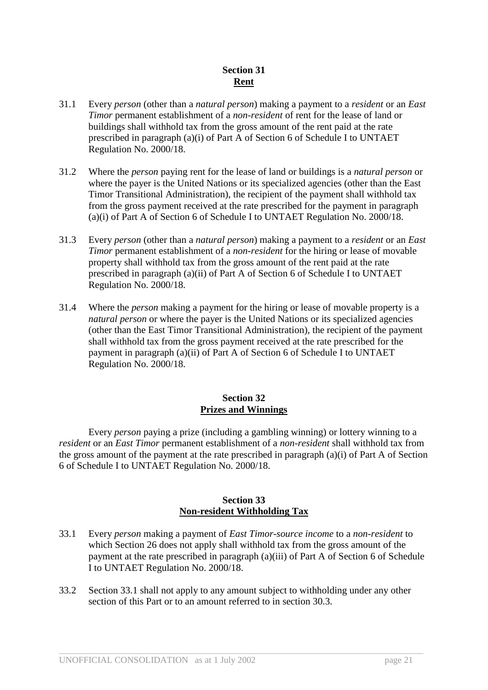## **Section 31 Rent**

- 31.1 Every *person* (other than a *natural person*) making a payment to a *resident* or an *East Timor* permanent establishment of a *non-resident* of rent for the lease of land or buildings shall withhold tax from the gross amount of the rent paid at the rate prescribed in paragraph (a)(i) of Part A of Section 6 of Schedule I to UNTAET Regulation No. 2000/18.
- 31.2 Where the *person* paying rent for the lease of land or buildings is a *natural person* or where the payer is the United Nations or its specialized agencies (other than the East Timor Transitional Administration), the recipient of the payment shall withhold tax from the gross payment received at the rate prescribed for the payment in paragraph (a)(i) of Part A of Section 6 of Schedule I to UNTAET Regulation No. 2000/18.
- 31.3 Every *person* (other than a *natural person*) making a payment to a *resident* or an *East Timor* permanent establishment of a *non-resident* for the hiring or lease of movable property shall withhold tax from the gross amount of the rent paid at the rate prescribed in paragraph (a)(ii) of Part A of Section 6 of Schedule I to UNTAET Regulation No. 2000/18.
- 31.4 Where the *person* making a payment for the hiring or lease of movable property is a *natural person* or where the payer is the United Nations or its specialized agencies (other than the East Timor Transitional Administration), the recipient of the payment shall withhold tax from the gross payment received at the rate prescribed for the payment in paragraph (a)(ii) of Part A of Section 6 of Schedule I to UNTAET Regulation No. 2000/18.

## **Section 32 Prizes and Winnings**

Every *person* paying a prize (including a gambling winning) or lottery winning to a *resident* or an *East Timor* permanent establishment of a *non-resident* shall withhold tax from the gross amount of the payment at the rate prescribed in paragraph (a)(i) of Part A of Section 6 of Schedule I to UNTAET Regulation No. 2000/18.

## **Section 33 Non-resident Withholding Tax**

- 33.1 Every *person* making a payment of *East Timor-source income* to a *non-resident* to which Section 26 does not apply shall withhold tax from the gross amount of the payment at the rate prescribed in paragraph (a)(iii) of Part A of Section 6 of Schedule I to UNTAET Regulation No. 2000/18.
- 33.2 Section 33.1 shall not apply to any amount subject to withholding under any other section of this Part or to an amount referred to in section 30.3.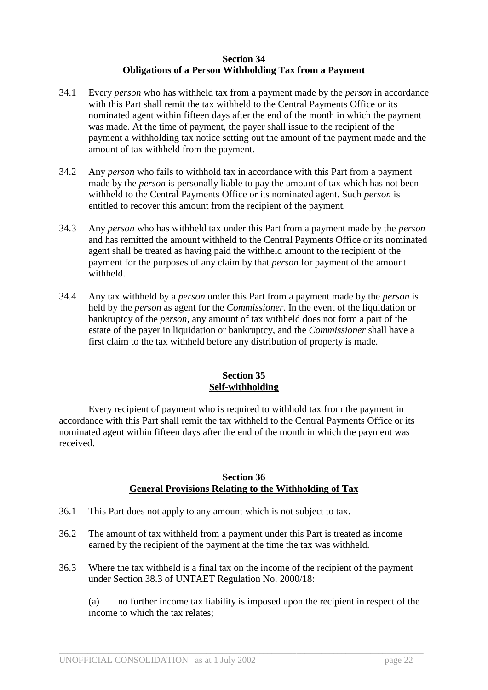## **Section 34 Obligations of a Person Withholding Tax from a Payment**

- 34.1 Every *person* who has withheld tax from a payment made by the *person* in accordance with this Part shall remit the tax withheld to the Central Payments Office or its nominated agent within fifteen days after the end of the month in which the payment was made. At the time of payment, the payer shall issue to the recipient of the payment a withholding tax notice setting out the amount of the payment made and the amount of tax withheld from the payment.
- 34.2 Any *person* who fails to withhold tax in accordance with this Part from a payment made by the *person* is personally liable to pay the amount of tax which has not been withheld to the Central Payments Office or its nominated agent. Such *person* is entitled to recover this amount from the recipient of the payment.
- 34.3 Any *person* who has withheld tax under this Part from a payment made by the *person* and has remitted the amount withheld to the Central Payments Office or its nominated agent shall be treated as having paid the withheld amount to the recipient of the payment for the purposes of any claim by that *person* for payment of the amount withheld.
- 34.4 Any tax withheld by a *person* under this Part from a payment made by the *person* is held by the *person* as agent for the *Commissioner*. In the event of the liquidation or bankruptcy of the *person*, any amount of tax withheld does not form a part of the estate of the payer in liquidation or bankruptcy, and the *Commissioner* shall have a first claim to the tax withheld before any distribution of property is made.

## **Section 35 Self-withholding**

Every recipient of payment who is required to withhold tax from the payment in accordance with this Part shall remit the tax withheld to the Central Payments Office or its nominated agent within fifteen days after the end of the month in which the payment was received.

## **Section 36 General Provisions Relating to the Withholding of Tax**

- 36.1 This Part does not apply to any amount which is not subject to tax.
- 36.2 The amount of tax withheld from a payment under this Part is treated as income earned by the recipient of the payment at the time the tax was withheld.
- 36.3 Where the tax withheld is a final tax on the income of the recipient of the payment under Section 38.3 of UNTAET Regulation No. 2000/18:

 $\_$  ,  $\_$  ,  $\_$  ,  $\_$  ,  $\_$  ,  $\_$  ,  $\_$  ,  $\_$  ,  $\_$  ,  $\_$  ,  $\_$  ,  $\_$  ,  $\_$  ,  $\_$  ,  $\_$  ,  $\_$  ,  $\_$  ,  $\_$  ,  $\_$  ,  $\_$  ,  $\_$  ,  $\_$  ,  $\_$  ,  $\_$  ,  $\_$  ,  $\_$  ,  $\_$  ,  $\_$  ,  $\_$  ,  $\_$  ,  $\_$  ,  $\_$  ,  $\_$  ,  $\_$  ,  $\_$  ,  $\_$  ,  $\_$  ,

(a) no further income tax liability is imposed upon the recipient in respect of the income to which the tax relates;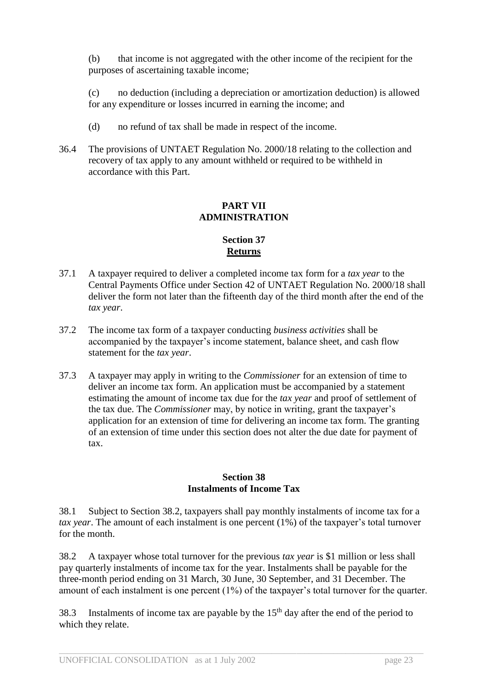(b) that income is not aggregated with the other income of the recipient for the purposes of ascertaining taxable income;

(c) no deduction (including a depreciation or amortization deduction) is allowed for any expenditure or losses incurred in earning the income; and

- (d) no refund of tax shall be made in respect of the income.
- 36.4 The provisions of UNTAET Regulation No. 2000/18 relating to the collection and recovery of tax apply to any amount withheld or required to be withheld in accordance with this Part.

## **PART VII ADMINISTRATION**

## **Section 37 Returns**

- 37.1 A taxpayer required to deliver a completed income tax form for a *tax year* to the Central Payments Office under Section 42 of UNTAET Regulation No. 2000/18 shall deliver the form not later than the fifteenth day of the third month after the end of the *tax year*.
- 37.2 The income tax form of a taxpayer conducting *business activities* shall be accompanied by the taxpayer's income statement, balance sheet, and cash flow statement for the *tax year*.
- 37.3 A taxpayer may apply in writing to the *Commissioner* for an extension of time to deliver an income tax form. An application must be accompanied by a statement estimating the amount of income tax due for the *tax year* and proof of settlement of the tax due. The *Commissioner* may, by notice in writing, grant the taxpayer's application for an extension of time for delivering an income tax form. The granting of an extension of time under this section does not alter the due date for payment of tax.

## **Section 38 Instalments of Income Tax**

38.1 Subject to Section 38.2, taxpayers shall pay monthly instalments of income tax for a *tax year*. The amount of each instalment is one percent (1%) of the taxpayer's total turnover for the month.

38.2 A taxpayer whose total turnover for the previous *tax year* is \$1 million or less shall pay quarterly instalments of income tax for the year. Instalments shall be payable for the three-month period ending on 31 March, 30 June, 30 September, and 31 December. The amount of each instalment is one percent (1%) of the taxpayer's total turnover for the quarter.

38.3 Instalments of income tax are payable by the  $15<sup>th</sup>$  day after the end of the period to which they relate.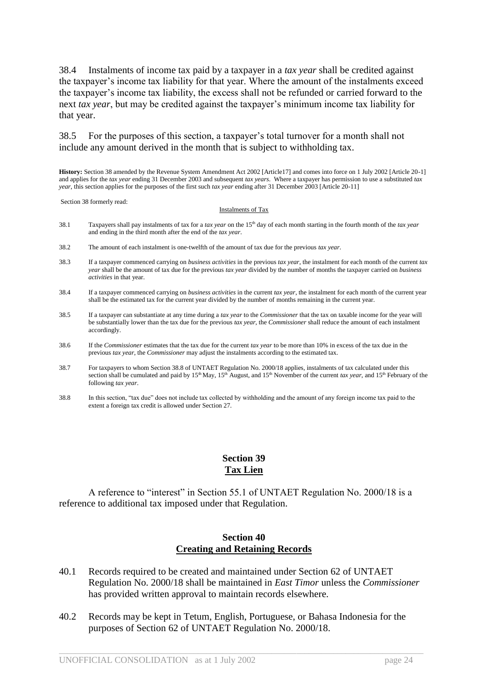38.4 Instalments of income tax paid by a taxpayer in a *tax year* shall be credited against the taxpayer's income tax liability for that year. Where the amount of the instalments exceed the taxpayer's income tax liability, the excess shall not be refunded or carried forward to the next *tax year*, but may be credited against the taxpayer's minimum income tax liability for that year.

38.5 For the purposes of this section, a taxpayer's total turnover for a month shall not include any amount derived in the month that is subject to withholding tax.

**History:** Section 38 amended by the Revenue System Amendment Act 2002 [Article17] and comes into force on 1 July 2002 [Article 20-1] and applies for the *tax year* ending 31 December 2003 and subsequent *tax years*. Where a taxpayer has permission to use a substituted *tax year*, this section applies for the purposes of the first such *tax year* ending after 31 December 2003 [Article 20-11]

Section 38 formerly read:

#### Instalments of Tax

- 38.1 Taxpayers shall pay instalments of tax for a *tax year* on the 15th day of each month starting in the fourth month of the *tax year* and ending in the third month after the end of the *tax year*.
- 38.2 The amount of each instalment is one-twelfth of the amount of tax due for the previous *tax year*.
- 38.3 If a taxpayer commenced carrying on *business activities* in the previous *tax year*, the instalment for each month of the current *tax year* shall be the amount of tax due for the previous *tax year* divided by the number of months the taxpayer carried on *business activities* in that year.
- 38.4 If a taxpayer commenced carrying on *business activities* in the current *tax year*, the instalment for each month of the current year shall be the estimated tax for the current year divided by the number of months remaining in the current year.
- 38.5 If a taxpayer can substantiate at any time during a *tax year* to the *Commissioner* that the tax on taxable income for the year will be substantially lower than the tax due for the previous *tax year*, the *Commissioner* shall reduce the amount of each instalment accordingly.
- 38.6 If the *Commissioner* estimates that the tax due for the current *tax year* to be more than 10% in excess of the tax due in the previous *tax year*, the *Commissioner* may adjust the instalments according to the estimated tax.
- 38.7 For taxpayers to whom Section 38.8 of UNTAET Regulation No. 2000/18 applies, instalments of tax calculated under this section shall be cumulated and paid by 15<sup>th</sup> May, 15<sup>th</sup> August, and 15<sup>th</sup> November of the current *tax year*, and 15<sup>th</sup> February of the following *tax year*.
- 38.8 In this section, "tax due" does not include tax collected by withholding and the amount of any foreign income tax paid to the extent a foreign tax credit is allowed under Section 27.

## **Section 39 Tax Lien**

A reference to "interest" in Section 55.1 of UNTAET Regulation No. 2000/18 is a reference to additional tax imposed under that Regulation.

## **Section 40 Creating and Retaining Records**

- 40.1 Records required to be created and maintained under Section 62 of UNTAET Regulation No. 2000/18 shall be maintained in *East Timor* unless the *Commissioner* has provided written approval to maintain records elsewhere.
- 40.2 Records may be kept in Tetum, English, Portuguese, or Bahasa Indonesia for the purposes of Section 62 of UNTAET Regulation No. 2000/18.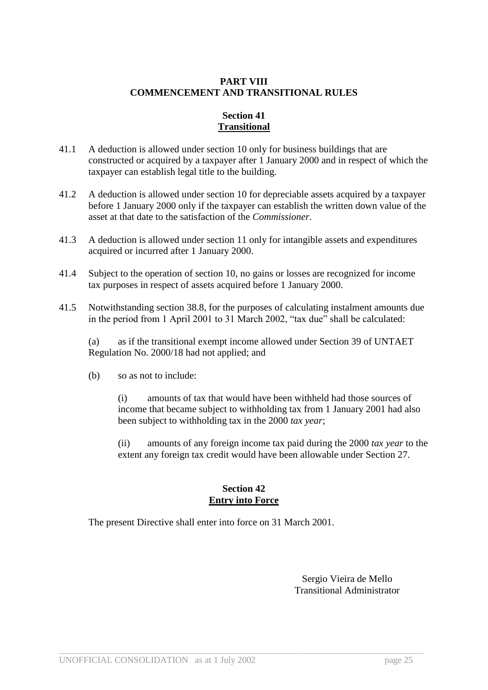## **PART VIII COMMENCEMENT AND TRANSITIONAL RULES**

## **Section 41 Transitional**

- 41.1 A deduction is allowed under section 10 only for business buildings that are constructed or acquired by a taxpayer after 1 January 2000 and in respect of which the taxpayer can establish legal title to the building.
- 41.2 A deduction is allowed under section 10 for depreciable assets acquired by a taxpayer before 1 January 2000 only if the taxpayer can establish the written down value of the asset at that date to the satisfaction of the *Commissioner*.
- 41.3 A deduction is allowed under section 11 only for intangible assets and expenditures acquired or incurred after 1 January 2000.
- 41.4 Subject to the operation of section 10, no gains or losses are recognized for income tax purposes in respect of assets acquired before 1 January 2000.
- 41.5 Notwithstanding section 38.8, for the purposes of calculating instalment amounts due in the period from 1 April 2001 to 31 March 2002, "tax due" shall be calculated:

(a) as if the transitional exempt income allowed under Section 39 of UNTAET Regulation No. 2000/18 had not applied; and

(b) so as not to include:

(i) amounts of tax that would have been withheld had those sources of income that became subject to withholding tax from 1 January 2001 had also been subject to withholding tax in the 2000 *tax year*;

(ii) amounts of any foreign income tax paid during the 2000 *tax year* to the extent any foreign tax credit would have been allowable under Section 27.

## **Section 42 Entry into Force**

 $\_$  ,  $\_$  ,  $\_$  ,  $\_$  ,  $\_$  ,  $\_$  ,  $\_$  ,  $\_$  ,  $\_$  ,  $\_$  ,  $\_$  ,  $\_$  ,  $\_$  ,  $\_$  ,  $\_$  ,  $\_$  ,  $\_$  ,  $\_$  ,  $\_$  ,  $\_$  ,  $\_$  ,  $\_$  ,  $\_$  ,  $\_$  ,  $\_$  ,  $\_$  ,  $\_$  ,  $\_$  ,  $\_$  ,  $\_$  ,  $\_$  ,  $\_$  ,  $\_$  ,  $\_$  ,  $\_$  ,  $\_$  ,  $\_$  ,

The present Directive shall enter into force on 31 March 2001.

Sergio Vieira de Mello Transitional Administrator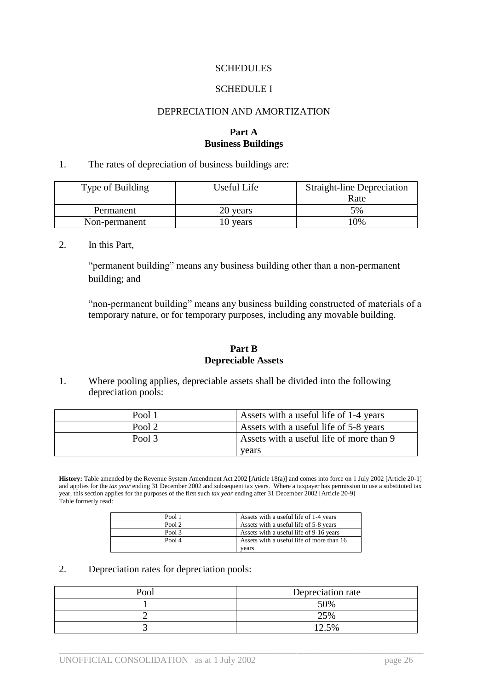#### **SCHEDULES**

#### SCHEDULE I

#### DEPRECIATION AND AMORTIZATION

## **Part A Business Buildings**

1. The rates of depreciation of business buildings are:

| Type of Building | Useful Life | <b>Straight-line Depreciation</b> |
|------------------|-------------|-----------------------------------|
|                  |             | Rate                              |
| Permanent        | 20 years    | 5%                                |
| Non-permanent    | 10 years    | 10%                               |

2. In this Part,

"permanent building" means any business building other than a non-permanent building; and

"non-permanent building" means any business building constructed of materials of a temporary nature, or for temporary purposes, including any movable building.

#### **Part B Depreciable Assets**

1. Where pooling applies, depreciable assets shall be divided into the following depreciation pools:

| Pool 1 | Assets with a useful life of 1-4 years   |
|--------|------------------------------------------|
| Pool 2 | Assets with a useful life of 5-8 years   |
| Pool 3 | Assets with a useful life of more than 9 |
|        | vears                                    |

**History:** Table amended by the Revenue System Amendment Act 2002 [Article 18(a)] and comes into force on 1 July 2002 [Article 20-1] and applies for the *tax year* ending 31 December 2002 and subsequent tax years. Where a taxpayer has permission to use a substituted tax year, this section applies for the purposes of the first such *tax year* ending after 31 December 2002 [Article 20-9] Table formerly read:

| Pool 1 | Assets with a useful life of 1-4 years    |
|--------|-------------------------------------------|
| Pool 2 | Assets with a useful life of 5-8 years    |
| Pool 3 | Assets with a useful life of 9-16 years   |
| Pool 4 | Assets with a useful life of more than 16 |
|        | vears                                     |

#### 2. Depreciation rates for depreciation pools:

| P∩∩l | Depreciation rate |
|------|-------------------|
|      | 50%               |
|      | 25%               |
|      | 12.5%             |